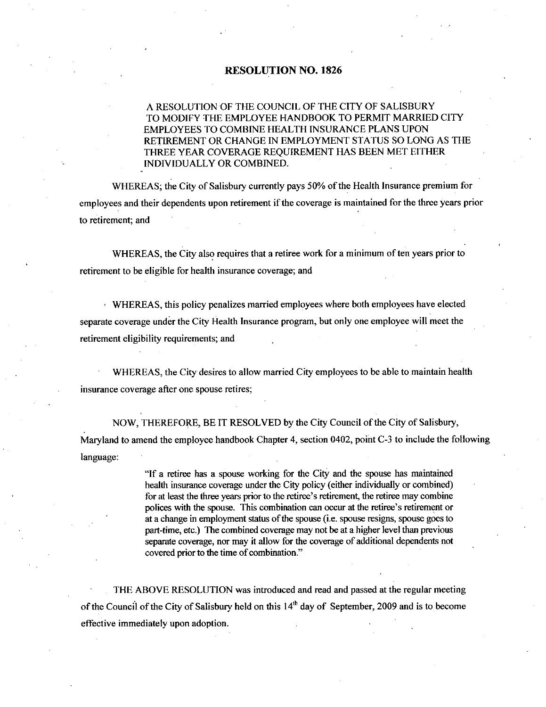## RESOLUTION NO. 1826

## A RESOLUTION OF THE COUNCIL OF THE CITYOF SALISBURY TO MODIFY THE EMPLOYEE HANDBOOK TO PERMIT MARRIED CITY EMPLOYEES TO COMBINE HEALTH INSURANCE PLANS UPON RETIREMENT OR CHANGE IN EMPLOYMENT STATUS SO LONG AS THE THREE YEAR COVERAGE REQUIREMENT HAS BEEN MET EITHER INDIVIDUALLY OR COMBINED

WHEREAS; the City of Salisbury currently pays 50% of the Health Insurance premium for employees and their dependents upon retirement if the coverage is maintained for the three years prior to retirement; and

WHEREAS, the City also requires that a retiree work for a minimum of ten years prior to retirement to be eligible for health insurance coverage; and

 $\cdot$  WHEREAS, this policy penalizes married employees where both employees have elected separate coverage under the City Health Insurance program, but only one employee will meet the retirement eligibility requirements; and

WHEREAS, the City desires to allow married City employees to be able to maintain health insurance coverage after one spouse retires

NOW, THEREFORE, BE IT RESOLVED by the City Council of the City of Salisbury, Maryland to amend the employee handbook Chapter 4, section 0402, point C-3 to include the following language

"If a retiree has a spouse working for the City and the spouse has maintained health insurance coverage under the City policy (either individually or combined) "If a retiree has a spouse working for the City and the spouse has maintained health insurance coverage under the City policy (either individually or combined) for at least the three years prior to the retiree's retirement "If a retiree has a spouse working for the City and the spouse has maintained health insurance coverage under the City policy (either individually or combined) for at least the three years prior to the retiree's retirement "It a retiree has a spouse working for the City and the spouse has maintained<br>health insurance coverage under the City policy (either individually or combined)<br>for at least the three years prior to the retiree's retirement at a change in employment status of the spouse (i.e. spouse resigns, spouse goes to part-time, etc.) The combined coverage may not be at a higher level than previous separate coverage, nor may it allow for the coverage of additional dependents not covered prior to the time of combination."

THE ABOVE RESOLUTION was introduced and read and passed at the regular meeting of the Council of the City of Salisbury held on this  $14<sup>th</sup>$  day of September, 2009 and is to become effective immediately upon adoption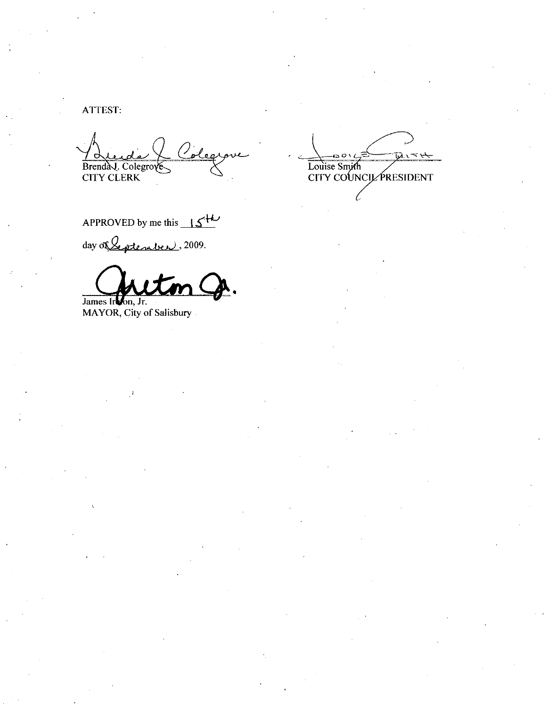ATTEST:

Coleg Brendal, Colegrove

APPROVED by me this  $15^{+1}$ 

day of Septenber, 2009.

James Irvon, Jr.

MAYOR, City of Salisbury

**Tars the** Louise Smith<br>CITY COUNCIL PRESIDENT